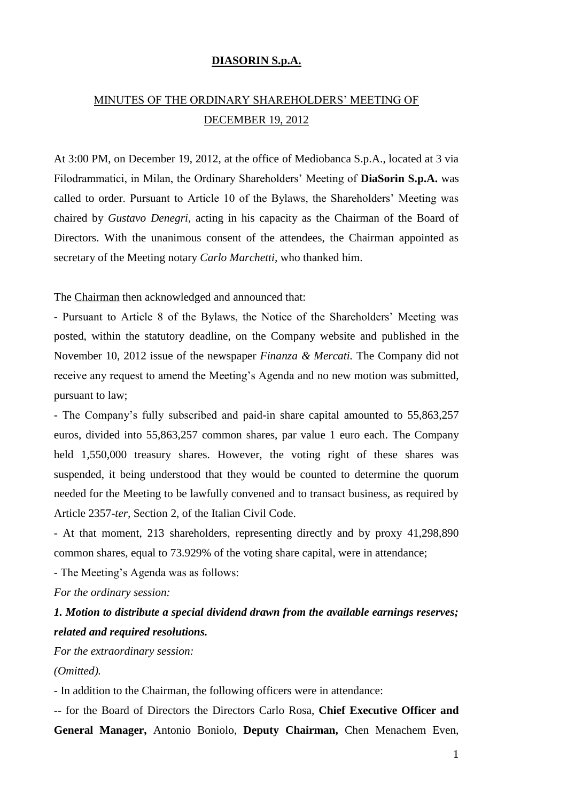#### **DIASORIN S.p.A.**

# MINUTES OF THE ORDINARY SHAREHOLDERS' MEETING OF DECEMBER 19, 2012

At 3:00 PM, on December 19, 2012, at the office of Mediobanca S.p.A., located at 3 via Filodrammatici, in Milan, the Ordinary Shareholders' Meeting of **DiaSorin S.p.A.** was called to order. Pursuant to Article 10 of the Bylaws, the Shareholders' Meeting was chaired by *Gustavo Denegri,* acting in his capacity as the Chairman of the Board of Directors. With the unanimous consent of the attendees, the Chairman appointed as secretary of the Meeting notary *Carlo Marchetti,* who thanked him.

The Chairman then acknowledged and announced that:

- Pursuant to Article 8 of the Bylaws, the Notice of the Shareholders' Meeting was posted, within the statutory deadline, on the Company website and published in the November 10, 2012 issue of the newspaper *Finanza & Mercati.* The Company did not receive any request to amend the Meeting's Agenda and no new motion was submitted, pursuant to law;

- The Company's fully subscribed and paid-in share capital amounted to 55,863,257 euros, divided into 55,863,257 common shares, par value 1 euro each. The Company held 1,550,000 treasury shares. However, the voting right of these shares was suspended, it being understood that they would be counted to determine the quorum needed for the Meeting to be lawfully convened and to transact business, as required by Article 2357-*ter,* Section 2, of the Italian Civil Code.

- At that moment, 213 shareholders, representing directly and by proxy 41,298,890 common shares, equal to 73.929% of the voting share capital, were in attendance;

- The Meeting's Agenda was as follows:

*For the ordinary session:*

# *1. Motion to distribute a special dividend drawn from the available earnings reserves; related and required resolutions.*

*For the extraordinary session: (Omitted).*

- In addition to the Chairman, the following officers were in attendance:

-- for the Board of Directors the Directors Carlo Rosa, **Chief Executive Officer and General Manager,** Antonio Boniolo, **Deputy Chairman,** Chen Menachem Even,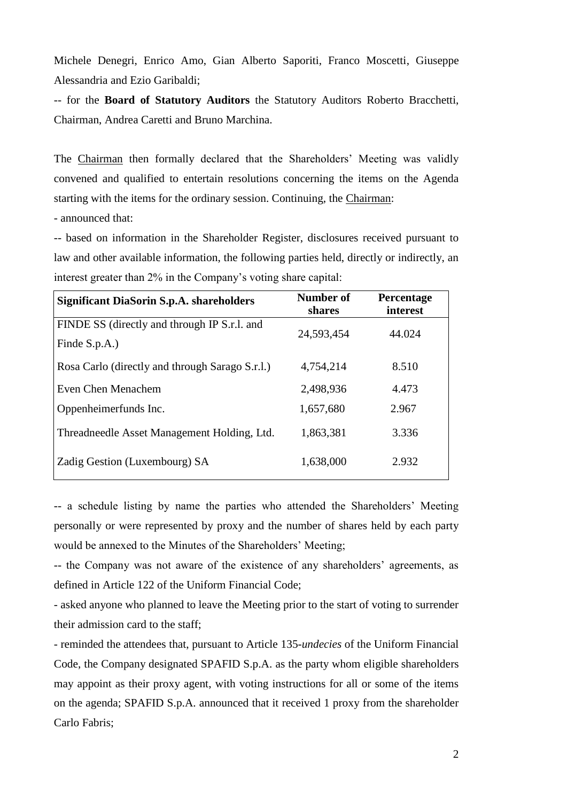Michele Denegri, Enrico Amo, Gian Alberto Saporiti, Franco Moscetti, Giuseppe Alessandria and Ezio Garibaldi;

-- for the **Board of Statutory Auditors** the Statutory Auditors Roberto Bracchetti, Chairman, Andrea Caretti and Bruno Marchina.

The Chairman then formally declared that the Shareholders' Meeting was validly convened and qualified to entertain resolutions concerning the items on the Agenda starting with the items for the ordinary session. Continuing, the Chairman:

- announced that:

-- based on information in the Shareholder Register, disclosures received pursuant to law and other available information, the following parties held, directly or indirectly, an interest greater than 2% in the Company's voting share capital:

| <b>Significant DiaSorin S.p.A. shareholders</b> | Number of<br>shares | <b>Percentage</b><br>interest |
|-------------------------------------------------|---------------------|-------------------------------|
| FINDE SS (directly and through IP S.r.l. and    | 24,593,454          | 44.024                        |
| Finde S.p.A.)                                   |                     |                               |
| Rosa Carlo (directly and through Sarago S.r.l.) | 4,754,214           | 8.510                         |
| Even Chen Menachem                              | 2,498,936           | 4.473                         |
| Oppenheimerfunds Inc.                           | 1,657,680           | 2.967                         |
| Threadneedle Asset Management Holding, Ltd.     | 1,863,381           | 3.336                         |
| Zadig Gestion (Luxembourg) SA                   | 1,638,000           | 2.932                         |

-- a schedule listing by name the parties who attended the Shareholders' Meeting personally or were represented by proxy and the number of shares held by each party would be annexed to the Minutes of the Shareholders' Meeting;

-- the Company was not aware of the existence of any shareholders' agreements, as defined in Article 122 of the Uniform Financial Code;

- asked anyone who planned to leave the Meeting prior to the start of voting to surrender their admission card to the staff;

- reminded the attendees that, pursuant to Article 135-*undecies* of the Uniform Financial Code, the Company designated SPAFID S.p.A. as the party whom eligible shareholders may appoint as their proxy agent, with voting instructions for all or some of the items on the agenda; SPAFID S.p.A. announced that it received 1 proxy from the shareholder Carlo Fabris;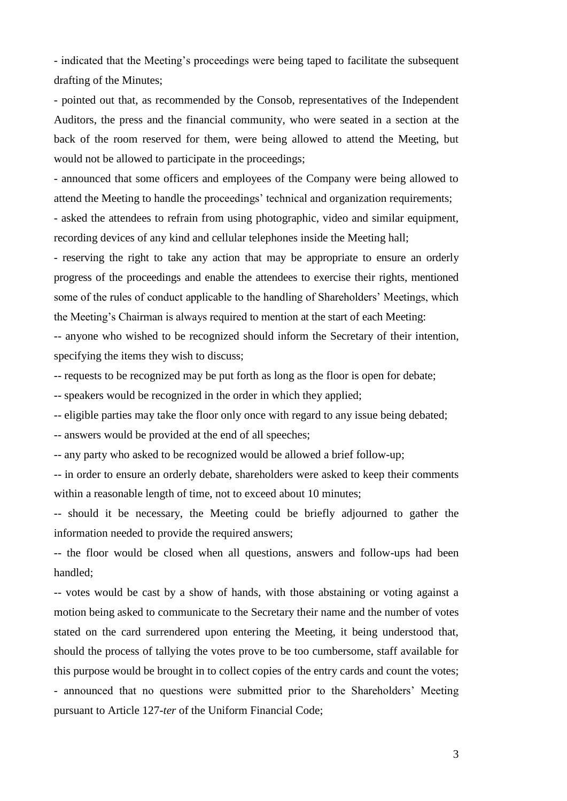- indicated that the Meeting's proceedings were being taped to facilitate the subsequent drafting of the Minutes;

- pointed out that, as recommended by the Consob, representatives of the Independent Auditors, the press and the financial community, who were seated in a section at the back of the room reserved for them, were being allowed to attend the Meeting, but would not be allowed to participate in the proceedings;

- announced that some officers and employees of the Company were being allowed to attend the Meeting to handle the proceedings' technical and organization requirements;

- asked the attendees to refrain from using photographic, video and similar equipment, recording devices of any kind and cellular telephones inside the Meeting hall;

- reserving the right to take any action that may be appropriate to ensure an orderly progress of the proceedings and enable the attendees to exercise their rights, mentioned some of the rules of conduct applicable to the handling of Shareholders' Meetings, which the Meeting's Chairman is always required to mention at the start of each Meeting:

-- anyone who wished to be recognized should inform the Secretary of their intention, specifying the items they wish to discuss;

-- requests to be recognized may be put forth as long as the floor is open for debate;

-- speakers would be recognized in the order in which they applied;

-- eligible parties may take the floor only once with regard to any issue being debated;

-- answers would be provided at the end of all speeches;

-- any party who asked to be recognized would be allowed a brief follow-up;

-- in order to ensure an orderly debate, shareholders were asked to keep their comments within a reasonable length of time, not to exceed about 10 minutes;

-- should it be necessary, the Meeting could be briefly adjourned to gather the information needed to provide the required answers;

-- the floor would be closed when all questions, answers and follow-ups had been handled;

-- votes would be cast by a show of hands, with those abstaining or voting against a motion being asked to communicate to the Secretary their name and the number of votes stated on the card surrendered upon entering the Meeting, it being understood that, should the process of tallying the votes prove to be too cumbersome, staff available for this purpose would be brought in to collect copies of the entry cards and count the votes; - announced that no questions were submitted prior to the Shareholders' Meeting pursuant to Article 127-*ter* of the Uniform Financial Code;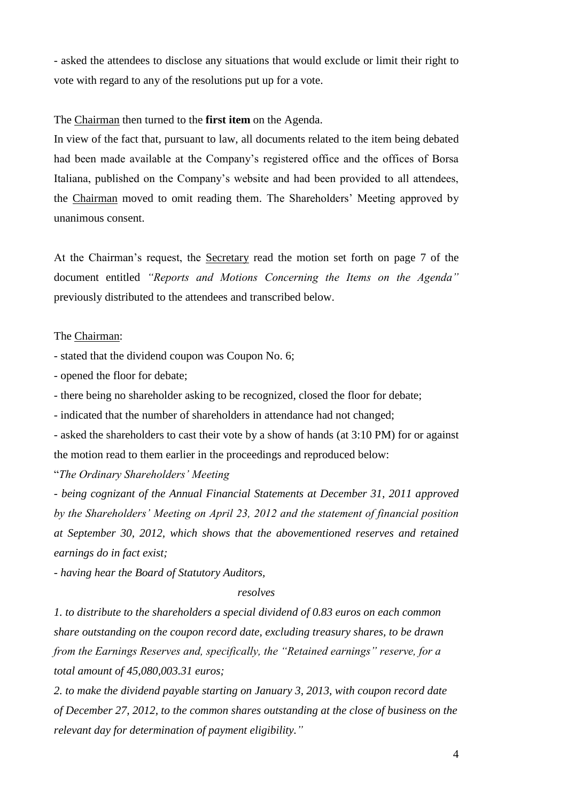- asked the attendees to disclose any situations that would exclude or limit their right to vote with regard to any of the resolutions put up for a vote.

#### The Chairman then turned to the **first item** on the Agenda.

In view of the fact that, pursuant to law, all documents related to the item being debated had been made available at the Company's registered office and the offices of Borsa Italiana, published on the Company's website and had been provided to all attendees, the Chairman moved to omit reading them. The Shareholders' Meeting approved by unanimous consent.

At the Chairman's request, the Secretary read the motion set forth on page 7 of the document entitled *"Reports and Motions Concerning the Items on the Agenda"* previously distributed to the attendees and transcribed below.

#### The Chairman:

- stated that the dividend coupon was Coupon No. 6;

- opened the floor for debate;

- there being no shareholder asking to be recognized, closed the floor for debate;

- indicated that the number of shareholders in attendance had not changed;

- asked the shareholders to cast their vote by a show of hands (at 3:10 PM) for or against the motion read to them earlier in the proceedings and reproduced below:

"*The Ordinary Shareholders' Meeting*

*- being cognizant of the Annual Financial Statements at December 31, 2011 approved by the Shareholders' Meeting on April 23, 2012 and the statement of financial position at September 30, 2012, which shows that the abovementioned reserves and retained earnings do in fact exist;*

*- having hear the Board of Statutory Auditors,*

#### *resolves*

*1. to distribute to the shareholders a special dividend of 0.83 euros on each common share outstanding on the coupon record date, excluding treasury shares, to be drawn from the Earnings Reserves and, specifically, the "Retained earnings" reserve, for a total amount of 45,080,003.31 euros;*

*2. to make the dividend payable starting on January 3, 2013, with coupon record date of December 27, 2012, to the common shares outstanding at the close of business on the relevant day for determination of payment eligibility."*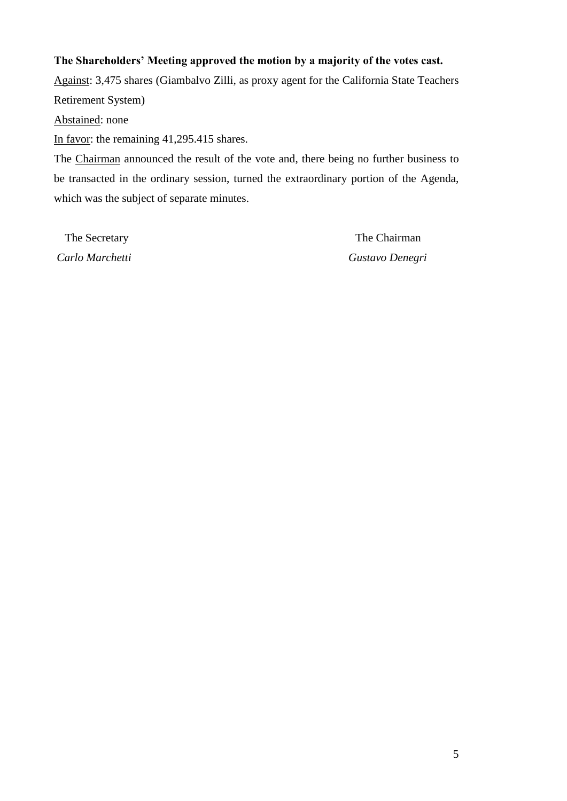## **The Shareholders' Meeting approved the motion by a majority of the votes cast.**

Against: 3,475 shares (Giambalvo Zilli, as proxy agent for the California State Teachers Retirement System)

Abstained: none

In favor: the remaining 41,295.415 shares.

The Chairman announced the result of the vote and, there being no further business to be transacted in the ordinary session, turned the extraordinary portion of the Agenda, which was the subject of separate minutes.

The Secretary The Chairman *Carlo Marchetti Gustavo Denegri*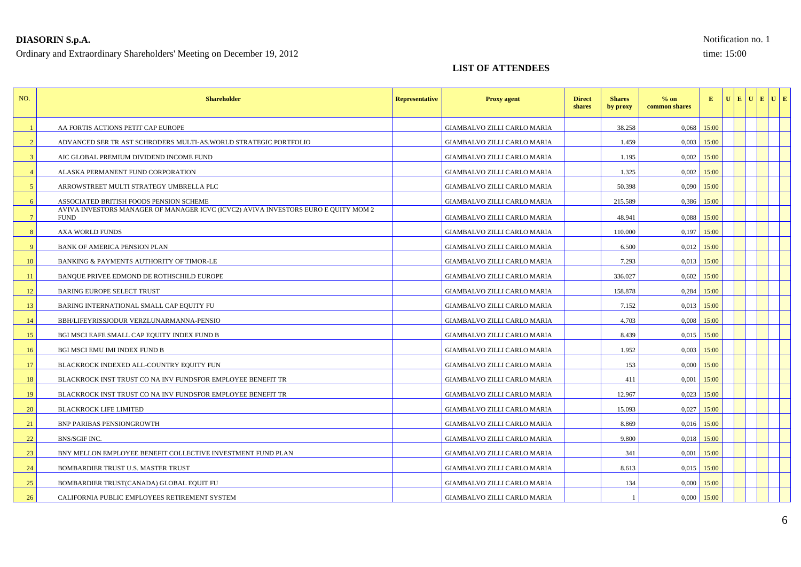## **DIASORIN S.p.A.** Notification no. 1

Ordinary and Extraordinary Shareholders' Meeting on December 19, 2012 time: 15:00

### **LIST OF ATTENDEES**

| NO.             | <b>Shareholder</b>                                                                                | <b>Representative</b> | <b>Proxy agent</b>          | <b>Direct</b><br>shares | <b>Shares</b><br>by proxy | $%$ on<br>common shares | E             |  | UEUEUE |  |
|-----------------|---------------------------------------------------------------------------------------------------|-----------------------|-----------------------------|-------------------------|---------------------------|-------------------------|---------------|--|--------|--|
|                 | AA FORTIS ACTIONS PETIT CAP EUROPE                                                                |                       | GIAMBALVO ZILLI CARLO MARIA |                         | 38.258                    |                         | $0.068$ 15:00 |  |        |  |
| 2               | ADVANCED SER TR AST SCHRODERS MULTI-AS. WORLD STRATEGIC PORTFOLIO                                 |                       | GIAMBALVO ZILLI CARLO MARIA |                         | 1.459                     |                         | $0,003$ 15:00 |  |        |  |
| $\mathcal{E}$   | AIC GLOBAL PREMIUM DIVIDEND INCOME FUND                                                           |                       | GIAMBALVO ZILLI CARLO MARIA |                         | 1.195                     | 0.002                   | 15:00         |  |        |  |
|                 | ALASKA PERMANENT FUND CORPORATION                                                                 |                       | GIAMBALVO ZILLI CARLO MARIA |                         | 1.325                     | 0,002                   | 15:00         |  |        |  |
| $\sqrt{5}$      | ARROWSTREET MULTI STRATEGY UMBRELLA PLC                                                           |                       | GIAMBALVO ZILLI CARLO MARIA |                         | 50.398                    |                         | $0,090$ 15:00 |  |        |  |
| 6               | ASSOCIATED BRITISH FOODS PENSION SCHEME                                                           |                       | GIAMBALVO ZILLI CARLO MARIA |                         | 215.589                   |                         | $0,386$ 15:00 |  |        |  |
| $7\phantom{.0}$ | AVIVA INVESTORS MANAGER OF MANAGER ICVC (ICVC2) AVIVA INVESTORS EURO E QUITY MOM 2<br><b>FUND</b> |                       | GIAMBALVO ZILLI CARLO MARIA |                         | 48.941                    | 0.088                   | 15:00         |  |        |  |
| 8               | <b>AXA WORLD FUNDS</b>                                                                            |                       | GIAMBALVO ZILLI CARLO MARIA |                         | 110,000                   |                         | $0,197$ 15:00 |  |        |  |
| 9               | BANK OF AMERICA PENSION PLAN                                                                      |                       | GIAMBALVO ZILLI CARLO MARIA |                         | 6.500                     |                         | $0,012$ 15:00 |  |        |  |
| 10              | BANKING & PAYMENTS AUTHORITY OF TIMOR-LE                                                          |                       | GIAMBALVO ZILLI CARLO MARIA |                         | 7.293                     |                         | $0.013$ 15:00 |  |        |  |
| 11              | BANQUE PRIVEE EDMOND DE ROTHSCHILD EUROPE                                                         |                       | GIAMBALVO ZILLI CARLO MARIA |                         | 336.027                   |                         | $0,602$ 15:00 |  |        |  |
| 12              | <b>BARING EUROPE SELECT TRUST</b>                                                                 |                       | GIAMBALVO ZILLI CARLO MARIA |                         | 158.878                   |                         | $0,284$ 15:00 |  |        |  |
| 13              | BARING INTERNATIONAL SMALL CAP EQUITY FU                                                          |                       | GIAMBALVO ZILLI CARLO MARIA |                         | 7.152                     |                         | $0,013$ 15:00 |  |        |  |
| 14              | BBH/LIFEYRISSJODUR VERZLUNARMANNA-PENSIO                                                          |                       | GIAMBALVO ZILLI CARLO MARIA |                         | 4.703                     |                         | $0,008$ 15:00 |  |        |  |
| 15              | BGI MSCI EAFE SMALL CAP EQUITY INDEX FUND B                                                       |                       | GIAMBALVO ZILLI CARLO MARIA |                         | 8.439                     |                         | $0,015$ 15:00 |  |        |  |
| 16              | <b>BGI MSCI EMU IMI INDEX FUND B</b>                                                              |                       | GIAMBALVO ZILLI CARLO MARIA |                         | 1.952                     |                         | $0,003$ 15:00 |  |        |  |
| 17              | BLACKROCK INDEXED ALL-COUNTRY EQUITY FUN                                                          |                       | GIAMBALVO ZILLI CARLO MARIA |                         | 153                       |                         | $0,000$ 15:00 |  |        |  |
| 18              | BLACKROCK INST TRUST CO NA INV FUNDSFOR EMPLOYEE BENEFIT TR                                       |                       | GIAMBALVO ZILLI CARLO MARIA |                         | 411                       | 0,001                   | 15:00         |  |        |  |
| 19              | BLACKROCK INST TRUST CO NA INV FUNDSFOR EMPLOYEE BENEFIT TR                                       |                       | GIAMBALVO ZILLI CARLO MARIA |                         | 12.967                    | 0,023                   | 15:00         |  |        |  |
| 20              | <b>BLACKROCK LIFE LIMITED</b>                                                                     |                       | GIAMBALVO ZILLI CARLO MARIA |                         | 15.093                    |                         | $0,027$ 15:00 |  |        |  |
| 21              | <b>BNP PARIBAS PENSIONGROWTH</b>                                                                  |                       | GIAMBALVO ZILLI CARLO MARIA |                         | 8.869                     |                         | $0,016$ 15:00 |  |        |  |
| 22              | BNS/SGIF INC.                                                                                     |                       | GIAMBALVO ZILLI CARLO MARIA |                         | 9.800                     |                         | $0,018$ 15:00 |  |        |  |
| 23              | BNY MELLON EMPLOYEE BENEFIT COLLECTIVE INVESTMENT FUND PLAN                                       |                       | GIAMBALVO ZILLI CARLO MARIA |                         | 341                       | 0,001                   | 15:00         |  |        |  |
| 24              | BOMBARDIER TRUST U.S. MASTER TRUST                                                                |                       | GIAMBALVO ZILLI CARLO MARIA |                         | 8.613                     |                         | $0,015$ 15:00 |  |        |  |
| 25              | BOMBARDIER TRUST(CANADA) GLOBAL EQUIT FU                                                          |                       | GIAMBALVO ZILLI CARLO MARIA |                         | 134                       | 0,000                   | 15:00         |  |        |  |
| 26              | CALIFORNIA PUBLIC EMPLOYEES RETIREMENT SYSTEM                                                     |                       | GIAMBALVO ZILLI CARLO MARIA |                         |                           |                         | $0,000$ 15:00 |  |        |  |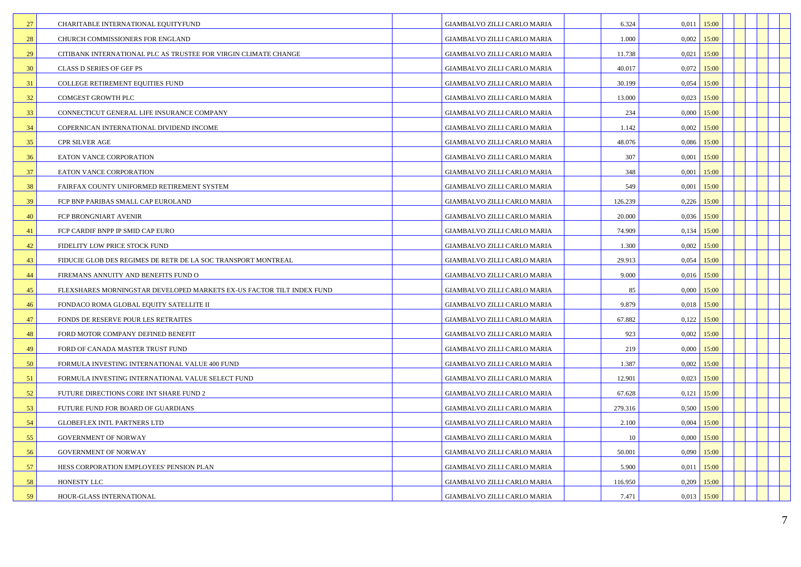| 27 | CHARITABLE INTERNATIONAL EQUITYFUND                                   | GIAMBALVO ZILLI CARLO MARIA        | 6.324   | 0,011<br>15:00 |  |  |
|----|-----------------------------------------------------------------------|------------------------------------|---------|----------------|--|--|
| 28 | CHURCH COMMISSIONERS FOR ENGLAND                                      | GIAMBALVO ZILLI CARLO MARIA        | 1.000   | $0,002$ 15:00  |  |  |
| 29 | CITIBANK INTERNATIONAL PLC AS TRUSTEE FOR VIRGIN CLIMATE CHANGE       | GIAMBALVO ZILLI CARLO MARIA        | 11.738  | 15:00<br>0,021 |  |  |
| 30 | CLASS D SERIES OF GEF PS                                              | GIAMBALVO ZILLI CARLO MARIA        | 40.017  | 0,072<br>15:00 |  |  |
| 31 | COLLEGE RETIREMENT EQUITIES FUND                                      | GIAMBALVO ZILLI CARLO MARIA        | 30.199  | 0,054<br>15:00 |  |  |
| 32 | COMGEST GROWTH PLC                                                    | GIAMBALVO ZILLI CARLO MARIA        | 13.000  | $0,023$ 15:00  |  |  |
| 33 | CONNECTICUT GENERAL LIFE INSURANCE COMPANY                            | GIAMBALVO ZILLI CARLO MARIA        | 234     | 0,000<br>15:00 |  |  |
| 34 | COPERNICAN INTERNATIONAL DIVIDEND INCOME                              | GIAMBALVO ZILLI CARLO MARIA        | 1.142   | 0,002<br>15:00 |  |  |
| 35 | <b>CPR SILVER AGE</b>                                                 | GIAMBALVO ZILLI CARLO MARIA        | 48.076  | $0,086$ 15:00  |  |  |
| 36 | EATON VANCE CORPORATION                                               | GIAMBALVO ZILLI CARLO MARIA        | 307     | 0,001<br>15:00 |  |  |
| 37 | EATON VANCE CORPORATION                                               | GIAMBALVO ZILLI CARLO MARIA        | 348     | 15:00<br>0,001 |  |  |
| 38 | FAIRFAX COUNTY UNIFORMED RETIREMENT SYSTEM                            | GIAMBALVO ZILLI CARLO MARIA        | 549     | 0,001<br>15:00 |  |  |
| 39 | FCP BNP PARIBAS SMALL CAP EUROLAND                                    | GIAMBALVO ZILLI CARLO MARIA        | 126.239 | 0,226<br>15:00 |  |  |
| 40 | FCP BRONGNIART AVENIR                                                 | GIAMBALVO ZILLI CARLO MARIA        | 20.000  | 0,036<br>15:00 |  |  |
| 41 | FCP CARDIF BNPP IP SMID CAP EURO                                      | GIAMBALVO ZILLI CARLO MARIA        | 74.909  | $0,134$ 15:00  |  |  |
| 42 | FIDELITY LOW PRICE STOCK FUND                                         | GIAMBALVO ZILLI CARLO MARIA        | 1.300   | 0,002<br>15:00 |  |  |
| 43 | FIDUCIE GLOB DES REGIMES DE RETR DE LA SOC TRANSPORT MONTREAL         | GIAMBALVO ZILLI CARLO MARIA        | 29.913  | 15:00<br>0,054 |  |  |
| 44 | FIREMANS ANNUITY AND BENEFITS FUND O                                  | GIAMBALVO ZILLI CARLO MARIA        | 9.000   | 0,016<br>15:00 |  |  |
| 45 | FLEXSHARES MORNINGSTAR DEVELOPED MARKETS EX-US FACTOR TILT INDEX FUND | GIAMBALVO ZILLI CARLO MARIA        | 85      | $0,000$ 15:00  |  |  |
| 46 | FONDACO ROMA GLOBAL EQUITY SATELLITE II                               | GIAMBALVO ZILLI CARLO MARIA        | 9.879   | 0,018<br>15:00 |  |  |
| 47 | FONDS DE RESERVE POUR LES RETRAITES                                   | GIAMBALVO ZILLI CARLO MARIA        | 67.882  | $0,122$ 15:00  |  |  |
| 48 | FORD MOTOR COMPANY DEFINED BENEFIT                                    | GIAMBALVO ZILLI CARLO MARIA        | 923     | 0,002<br>15:00 |  |  |
| 49 | FORD OF CANADA MASTER TRUST FUND                                      | GIAMBALVO ZILLI CARLO MARIA        | 219     | $0,000$ 15:00  |  |  |
| 50 | FORMULA INVESTING INTERNATIONAL VALUE 400 FUND                        | GIAMBALVO ZILLI CARLO MARIA        | 1.387   | 0,002<br>15:00 |  |  |
| 51 | FORMULA INVESTING INTERNATIONAL VALUE SELECT FUND                     | <b>GIAMBALVO ZILLI CARLO MARIA</b> | 12.901  | $0,023$ 15:00  |  |  |
| 52 | FUTURE DIRECTIONS CORE INT SHARE FUND 2                               | GIAMBALVO ZILLI CARLO MARIA        | 67.628  | 0,121<br>15:00 |  |  |
| 53 | FUTURE FUND FOR BOARD OF GUARDIANS                                    | GIAMBALVO ZILLI CARLO MARIA        | 279.316 | $0,500$ 15:00  |  |  |
| 54 | <b>GLOBEFLEX INTL PARTNERS LTD</b>                                    | GIAMBALVO ZILLI CARLO MARIA        | 2.100   | 0,004<br>15:00 |  |  |
| 55 | <b>GOVERNMENT OF NORWAY</b>                                           | <b>GIAMBALVO ZILLI CARLO MARIA</b> | 10      | $0,000$ 15:00  |  |  |
| 56 | <b>GOVERNMENT OF NORWAY</b>                                           | GIAMBALVO ZILLI CARLO MARIA        | 50.001  | 0,090<br>15:00 |  |  |
| 57 | HESS CORPORATION EMPLOYEES' PENSION PLAN                              | GIAMBALVO ZILLI CARLO MARIA        | 5.900   | $0,011$ 15:00  |  |  |
| 58 | HONESTY LLC                                                           | GIAMBALVO ZILLI CARLO MARIA        | 116.950 | 0,209<br>15:00 |  |  |
| 59 | HOUR-GLASS INTERNATIONAL                                              | <b>GIAMBALVO ZILLI CARLO MARIA</b> | 7.471   | $0,013$ 15:00  |  |  |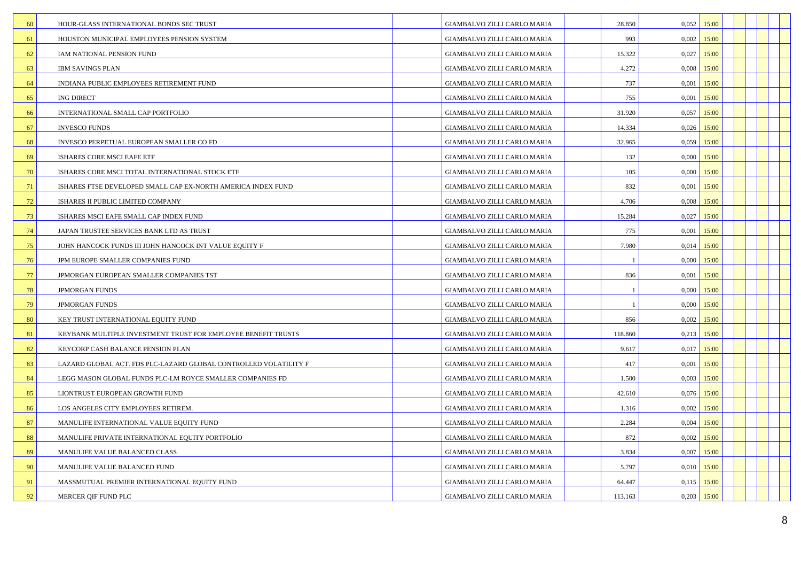| 60 | HOUR-GLASS INTERNATIONAL BONDS SEC TRUST                         | GIAMBALVO ZILLI CARLO MARIA        | 28.850  | $0.052$ 15:00   |  |  |
|----|------------------------------------------------------------------|------------------------------------|---------|-----------------|--|--|
| 61 | HOUSTON MUNICIPAL EMPLOYEES PENSION SYSTEM                       | GIAMBALVO ZILLI CARLO MARIA        | 993     | $0,002$ 15:00   |  |  |
| 62 | IAM NATIONAL PENSION FUND                                        | GIAMBALVO ZILLI CARLO MARIA        | 15.322  | 0,027<br>15:00  |  |  |
| 63 | <b>IBM SAVINGS PLAN</b>                                          | GIAMBALVO ZILLI CARLO MARIA        | 4.272   | 0,008<br>15:00  |  |  |
| 64 | INDIANA PUBLIC EMPLOYEES RETIREMENT FUND                         | GIAMBALVO ZILLI CARLO MARIA        | 737     | $0,001$ 15:00   |  |  |
| 65 | <b>ING DIRECT</b>                                                | GIAMBALVO ZILLI CARLO MARIA        | 755     | $0,001$ 15:00   |  |  |
| 66 | INTERNATIONAL SMALL CAP PORTFOLIO                                | GIAMBALVO ZILLI CARLO MARIA        | 31.920  | 0,057<br>15:00  |  |  |
| 67 | <b>INVESCO FUNDS</b>                                             | GIAMBALVO ZILLI CARLO MARIA        | 14.334  | $0,026$ 15:00   |  |  |
| 68 | INVESCO PERPETUAL EUROPEAN SMALLER CO FD                         | GIAMBALVO ZILLI CARLO MARIA        | 32.965  | $0,059$ 15:00   |  |  |
| 69 | ISHARES CORE MSCI EAFE ETF                                       | GIAMBALVO ZILLI CARLO MARIA        | 132     | $0,000$ 15:00   |  |  |
| 70 | ISHARES CORE MSCI TOTAL INTERNATIONAL STOCK ETF                  | GIAMBALVO ZILLI CARLO MARIA        | 105     | 0,000<br>15:00  |  |  |
| 71 | ISHARES FTSE DEVELOPED SMALL CAP EX-NORTH AMERICA INDEX FUND     | <b>GIAMBALVO ZILLI CARLO MARIA</b> | 832     | 0,001<br>15:00  |  |  |
| 72 | ISHARES II PUBLIC LIMITED COMPANY                                | GIAMBALVO ZILLI CARLO MARIA        | 4.706   | 0.008<br>15:00  |  |  |
| 73 | ISHARES MSCI EAFE SMALL CAP INDEX FUND                           | GIAMBALVO ZILLI CARLO MARIA        | 15.284  | 0,027<br>15:00  |  |  |
| 74 | JAPAN TRUSTEE SERVICES BANK LTD AS TRUST                         | GIAMBALVO ZILLI CARLO MARIA        | 775     | 15:00<br>0,001  |  |  |
| 75 | JOHN HANCOCK FUNDS III JOHN HANCOCK INT VALUE EQUITY F           | <b>GIAMBALVO ZILLI CARLO MARIA</b> | 7.980   | 0,014<br>15:00  |  |  |
| 76 | JPM EUROPE SMALLER COMPANIES FUND                                | GIAMBALVO ZILLI CARLO MARIA        |         | 0,000<br>15:00  |  |  |
| 77 | JPMORGAN EUROPEAN SMALLER COMPANIES TST                          | GIAMBALVO ZILLI CARLO MARIA        | 836     | 0,001<br>15:00  |  |  |
| 78 | <b>JPMORGAN FUNDS</b>                                            | <b>GIAMBALVO ZILLI CARLO MARIA</b> |         | $0,000$ 15:00   |  |  |
| 79 | <b>JPMORGAN FUNDS</b>                                            | GIAMBALVO ZILLI CARLO MARIA        |         | 0,000<br>15:00  |  |  |
| 80 | KEY TRUST INTERNATIONAL EQUITY FUND                              | GIAMBALVO ZILLI CARLO MARIA        | 856     | $0,002$   15:00 |  |  |
| 81 | KEYBANK MULTIPLE INVESTMENT TRUST FOR EMPLOYEE BENEFIT TRUSTS    | GIAMBALVO ZILLI CARLO MARIA        | 118.860 | 0,213<br>15:00  |  |  |
| 82 | KEYCORP CASH BALANCE PENSION PLAN                                | GIAMBALVO ZILLI CARLO MARIA        | 9.617   | $0,017$ 15:00   |  |  |
| 83 | LAZARD GLOBAL ACT. FDS PLC-LAZARD GLOBAL CONTROLLED VOLATILITY F | GIAMBALVO ZILLI CARLO MARIA        | 417     | 0,001<br>15:00  |  |  |
| 84 | LEGG MASON GLOBAL FUNDS PLC-LM ROYCE SMALLER COMPANIES FD        | GIAMBALVO ZILLI CARLO MARIA        | 1.500   | $0,003$ 15:00   |  |  |
| 85 | LIONTRUST EUROPEAN GROWTH FUND                                   | GIAMBALVO ZILLI CARLO MARIA        | 42.610  | $0,076$ 15:00   |  |  |
| 86 | LOS ANGELES CITY EMPLOYEES RETIREM.                              | GIAMBALVO ZILLI CARLO MARIA        | 1.316   | $0,002$ 15:00   |  |  |
| 87 | MANULIFE INTERNATIONAL VALUE EQUITY FUND                         | GIAMBALVO ZILLI CARLO MARIA        | 2.284   | 0,004<br>15:00  |  |  |
| 88 | MANULIFE PRIVATE INTERNATIONAL EQUITY PORTFOLIO                  | <b>GIAMBALVO ZILLI CARLO MARIA</b> | 872     | $0,002$ 15:00   |  |  |
| 89 | MANULIFE VALUE BALANCED CLASS                                    | GIAMBALVO ZILLI CARLO MARIA        | 3.834   | 0,007<br>15:00  |  |  |
| 90 | MANULIFE VALUE BALANCED FUND                                     | GIAMBALVO ZILLI CARLO MARIA        | 5.797   | $0,010$ 15:00   |  |  |
| 91 | MASSMUTUAL PREMIER INTERNATIONAL EQUITY FUND                     | GIAMBALVO ZILLI CARLO MARIA        | 64.447  | $0,115$ 15:00   |  |  |
| 92 | MERCER QIF FUND PLC                                              | <b>GIAMBALVO ZILLI CARLO MARIA</b> | 113.163 | $0,203$ 15:00   |  |  |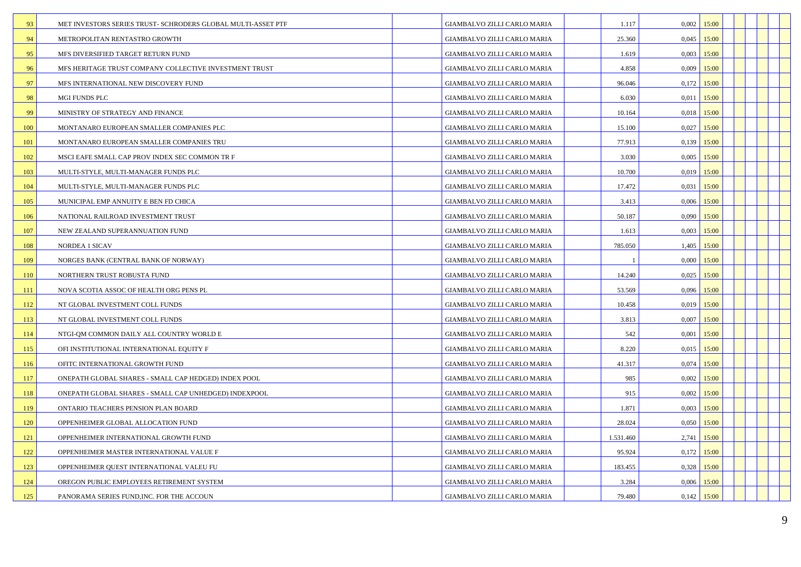| 93  | MET INVESTORS SERIES TRUST- SCHRODERS GLOBAL MULTI-ASSET PTF | GIAMBALVO ZILLI CARLO MARIA        | 1.117     | 0,002         | 15:00 |  |  |
|-----|--------------------------------------------------------------|------------------------------------|-----------|---------------|-------|--|--|
| 94  |                                                              |                                    | 25.360    | $0,045$ 15:00 |       |  |  |
|     | METROPOLITAN RENTASTRO GROWTH                                | GIAMBALVO ZILLI CARLO MARIA        |           |               |       |  |  |
| 95  | MFS DIVERSIFIED TARGET RETURN FUND                           | GIAMBALVO ZILLI CARLO MARIA        | 1.619     | 0,003         | 15:00 |  |  |
| 96  | MFS HERITAGE TRUST COMPANY COLLECTIVE INVESTMENT TRUST       | GIAMBALVO ZILLI CARLO MARIA        | 4.858     | $0,009$ 15:00 |       |  |  |
| 97  | MFS INTERNATIONAL NEW DISCOVERY FUND                         | GIAMBALVO ZILLI CARLO MARIA        | 96.046    | $0,172$ 15:00 |       |  |  |
| 98  | MGI FUNDS PLC                                                | GIAMBALVO ZILLI CARLO MARIA        | 6.030     | $0,011$ 15:00 |       |  |  |
| 99  | MINISTRY OF STRATEGY AND FINANCE                             | GIAMBALVO ZILLI CARLO MARIA        | 10.164    | 0,018         | 15:00 |  |  |
| 100 | MONTANARO EUROPEAN SMALLER COMPANIES PLC                     | GIAMBALVO ZILLI CARLO MARIA        | 15.100    | $0,027$ 15:00 |       |  |  |
| 101 | MONTANARO EUROPEAN SMALLER COMPANIES TRU                     | GIAMBALVO ZILLI CARLO MARIA        | 77.913    | $0,139$ 15:00 |       |  |  |
| 102 | MSCI EAFE SMALL CAP PROV INDEX SEC COMMON TR F               | GIAMBALVO ZILLI CARLO MARIA        | 3.030     | $0,005$ 15:00 |       |  |  |
| 103 | MULTI-STYLE, MULTI-MANAGER FUNDS PLC                         | GIAMBALVO ZILLI CARLO MARIA        | 10.700    | 0,019         | 15:00 |  |  |
| 104 | MULTI-STYLE, MULTI-MANAGER FUNDS PLC                         | GIAMBALVO ZILLI CARLO MARIA        | 17.472    | 0,031         | 15:00 |  |  |
| 105 | MUNICIPAL EMP ANNUITY E BEN FD CHICA                         | GIAMBALVO ZILLI CARLO MARIA        | 3.413     | 0,006         | 15:00 |  |  |
| 106 | NATIONAL RAILROAD INVESTMENT TRUST                           | GIAMBALVO ZILLI CARLO MARIA        | 50.187    | 0,090         | 15:00 |  |  |
| 107 | NEW ZEALAND SUPERANNUATION FUND                              | GIAMBALVO ZILLI CARLO MARIA        | 1.613     | 0,003         | 15:00 |  |  |
| 108 | NORDEA 1 SICAV                                               | GIAMBALVO ZILLI CARLO MARIA        | 785.050   | 1,405         | 15:00 |  |  |
| 109 | NORGES BANK (CENTRAL BANK OF NORWAY)                         | GIAMBALVO ZILLI CARLO MARIA        |           | 0,000         | 15:00 |  |  |
| 110 | NORTHERN TRUST ROBUSTA FUND                                  | GIAMBALVO ZILLI CARLO MARIA        | 14.240    | 0,025         | 15:00 |  |  |
| 111 | NOVA SCOTIA ASSOC OF HEALTH ORG PENS PL                      | GIAMBALVO ZILLI CARLO MARIA        | 53.569    | 0,096         | 15:00 |  |  |
| 112 | NT GLOBAL INVESTMENT COLL FUNDS                              | <b>GIAMBALVO ZILLI CARLO MARIA</b> | 10.458    | 0,019         | 15:00 |  |  |
| 113 | NT GLOBAL INVESTMENT COLL FUNDS                              | GIAMBALVO ZILLI CARLO MARIA        | 3.813     | $0,007$ 15:00 |       |  |  |
| 114 | NTGI-QM COMMON DAILY ALL COUNTRY WORLD E                     | GIAMBALVO ZILLI CARLO MARIA        | 542       | 0,001         | 15:00 |  |  |
| 115 | OFI INSTITUTIONAL INTERNATIONAL EQUITY F                     | GIAMBALVO ZILLI CARLO MARIA        | 8.220     | $0,015$ 15:00 |       |  |  |
| 116 | OFITC INTERNATIONAL GROWTH FUND                              | <b>GIAMBALVO ZILLI CARLO MARIA</b> | 41.317    | 0,074         | 15:00 |  |  |
| 117 | ONEPATH GLOBAL SHARES - SMALL CAP HEDGED) INDEX POOL         | GIAMBALVO ZILLI CARLO MARIA        | 985       | $0,002$ 15:00 |       |  |  |
| 118 | ONEPATH GLOBAL SHARES - SMALL CAP UNHEDGED) INDEXPOOL        | GIAMBALVO ZILLI CARLO MARIA        | 915       | 0,002         | 15:00 |  |  |
| 119 | ONTARIO TEACHERS PENSION PLAN BOARD                          | GIAMBALVO ZILLI CARLO MARIA        | 1.871     | $0,003$ 15:00 |       |  |  |
| 120 | OPPENHEIMER GLOBAL ALLOCATION FUND                           | GIAMBALVO ZILLI CARLO MARIA        | 28.024    | 0,050         | 15:00 |  |  |
| 121 | OPPENHEIMER INTERNATIONAL GROWTH FUND                        | GIAMBALVO ZILLI CARLO MARIA        | 1.531.460 | $2,741$ 15:00 |       |  |  |
| 122 | OPPENHEIMER MASTER INTERNATIONAL VALUE F                     | GIAMBALVO ZILLI CARLO MARIA        | 95.924    | 0,172         | 15:00 |  |  |
| 123 | OPPENHEIMER QUEST INTERNATIONAL VALEU FU                     | GIAMBALVO ZILLI CARLO MARIA        | 183.455   | $0,328$ 15:00 |       |  |  |
| 124 | OREGON PUBLIC EMPLOYEES RETIREMENT SYSTEM                    | GIAMBALVO ZILLI CARLO MARIA        | 3.284     | 0,006         | 15:00 |  |  |
| 125 | PANORAMA SERIES FUND, INC. FOR THE ACCOUN                    | <b>GIAMBALVO ZILLI CARLO MARIA</b> | 79.480    | $0,142$ 15:00 |       |  |  |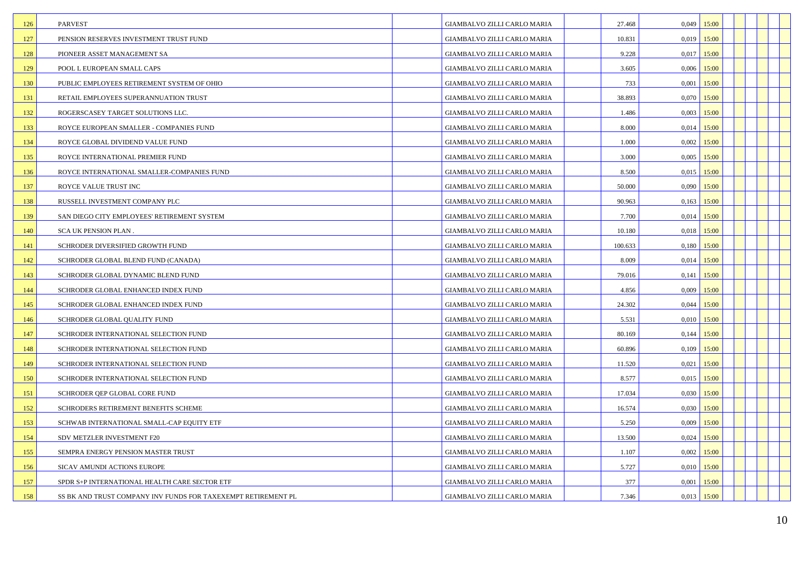| 126 | <b>PARVEST</b>                                                | GIAMBALVO ZILLI CARLO MARIA        | 27.468  | 0,049         | 15:00 |  |  |
|-----|---------------------------------------------------------------|------------------------------------|---------|---------------|-------|--|--|
| 127 | PENSION RESERVES INVESTMENT TRUST FUND                        | GIAMBALVO ZILLI CARLO MARIA        | 10.831  | 0,019         | 15:00 |  |  |
| 128 | PIONEER ASSET MANAGEMENT SA                                   | GIAMBALVO ZILLI CARLO MARIA        | 9.228   | $0,017$ 15:00 |       |  |  |
| 129 | POOL L EUROPEAN SMALL CAPS                                    | GIAMBALVO ZILLI CARLO MARIA        | 3.605   | 0,006         | 15:00 |  |  |
| 130 | PUBLIC EMPLOYEES RETIREMENT SYSTEM OF OHIO                    | GIAMBALVO ZILLI CARLO MARIA        | 733     | 0,001         | 15:00 |  |  |
| 131 | RETAIL EMPLOYEES SUPERANNUATION TRUST                         | GIAMBALVO ZILLI CARLO MARIA        | 38.893  | 0,070         | 15:00 |  |  |
| 132 | ROGERSCASEY TARGET SOLUTIONS LLC.                             | GIAMBALVO ZILLI CARLO MARIA        | 1.486   | 0,003         | 15:00 |  |  |
| 133 | ROYCE EUROPEAN SMALLER - COMPANIES FUND                       | GIAMBALVO ZILLI CARLO MARIA        | 8.000   | 0,014         | 15:00 |  |  |
| 134 | ROYCE GLOBAL DIVIDEND VALUE FUND                              | GIAMBALVO ZILLI CARLO MARIA        | 1.000   | 0,002         | 15:00 |  |  |
| 135 | ROYCE INTERNATIONAL PREMIER FUND                              | GIAMBALVO ZILLI CARLO MARIA        | 3.000   | 0,005         | 15:00 |  |  |
| 136 | ROYCE INTERNATIONAL SMALLER-COMPANIES FUND                    | GIAMBALVO ZILLI CARLO MARIA        | 8.500   | 0,015         | 15:00 |  |  |
| 137 | ROYCE VALUE TRUST INC                                         | <b>GIAMBALVO ZILLI CARLO MARIA</b> | 50.000  | 0,090         | 15:00 |  |  |
| 138 | RUSSELL INVESTMENT COMPANY PLC                                | GIAMBALVO ZILLI CARLO MARIA        | 90.963  | 0,163         | 15:00 |  |  |
| 139 | SAN DIEGO CITY EMPLOYEES' RETIREMENT SYSTEM                   | GIAMBALVO ZILLI CARLO MARIA        | 7.700   | 0,014         | 15:00 |  |  |
| 140 | SCA UK PENSION PLAN.                                          | <b>GIAMBALVO ZILLI CARLO MARIA</b> | 10.180  | $0.018$ 15:00 |       |  |  |
| 141 | SCHRODER DIVERSIFIED GROWTH FUND                              | GIAMBALVO ZILLI CARLO MARIA        | 100.633 | 0,180         | 15:00 |  |  |
| 142 | SCHRODER GLOBAL BLEND FUND (CANADA)                           | GIAMBALVO ZILLI CARLO MARIA        | 8.009   | $0,014$ 15:00 |       |  |  |
| 143 | SCHRODER GLOBAL DYNAMIC BLEND FUND                            | GIAMBALVO ZILLI CARLO MARIA        | 79.016  | 0,141         | 15:00 |  |  |
| 144 | SCHRODER GLOBAL ENHANCED INDEX FUND                           | GIAMBALVO ZILLI CARLO MARIA        | 4.856   | 0,009         | 15:00 |  |  |
| 145 | SCHRODER GLOBAL ENHANCED INDEX FUND                           | GIAMBALVO ZILLI CARLO MARIA        | 24.302  | 0,044         | 15:00 |  |  |
| 146 | SCHRODER GLOBAL QUALITY FUND                                  | GIAMBALVO ZILLI CARLO MARIA        | 5.531   | $0,010$ 15:00 |       |  |  |
| 147 | SCHRODER INTERNATIONAL SELECTION FUND                         | GIAMBALVO ZILLI CARLO MARIA        | 80.169  | 0,144         | 15:00 |  |  |
| 148 | SCHRODER INTERNATIONAL SELECTION FUND                         | GIAMBALVO ZILLI CARLO MARIA        | 60.896  | $0,109$ 15:00 |       |  |  |
| 149 | SCHRODER INTERNATIONAL SELECTION FUND                         | GIAMBALVO ZILLI CARLO MARIA        | 11.520  | 0,021         | 15:00 |  |  |
| 150 | SCHRODER INTERNATIONAL SELECTION FUND                         | GIAMBALVO ZILLI CARLO MARIA        | 8.577   | $0,015$ 15:00 |       |  |  |
| 151 | SCHRODER QEP GLOBAL CORE FUND                                 | GIAMBALVO ZILLI CARLO MARIA        | 17.034  | 0,030         | 15:00 |  |  |
| 152 | SCHRODERS RETIREMENT BENEFITS SCHEME                          | GIAMBALVO ZILLI CARLO MARIA        | 16.574  | $0,030$ 15:00 |       |  |  |
| 153 | SCHWAB INTERNATIONAL SMALL-CAP EQUITY ETF                     | GIAMBALVO ZILLI CARLO MARIA        | 5.250   | 0,009         | 15:00 |  |  |
| 154 | SDV METZLER INVESTMENT F20                                    | GIAMBALVO ZILLI CARLO MARIA        | 13.500  | $0,024$ 15:00 |       |  |  |
| 155 | SEMPRA ENERGY PENSION MASTER TRUST                            | GIAMBALVO ZILLI CARLO MARIA        | 1.107   | 0,002         | 15:00 |  |  |
| 156 | SICAV AMUNDI ACTIONS EUROPE                                   | GIAMBALVO ZILLI CARLO MARIA        | 5.727   | $0,010$ 15:00 |       |  |  |
| 157 | SPDR S+P INTERNATIONAL HEALTH CARE SECTOR ETF                 | GIAMBALVO ZILLI CARLO MARIA        | 377     | 0,001         | 15:00 |  |  |
| 158 | SS BK AND TRUST COMPANY INV FUNDS FOR TAXEXEMPT RETIREMENT PL | GIAMBALVO ZILLI CARLO MARIA        | 7.346   | $0,013$ 15:00 |       |  |  |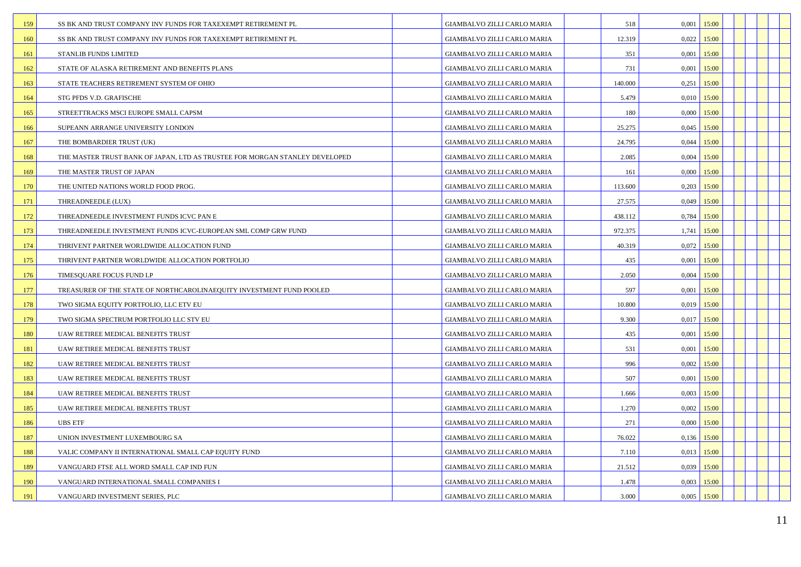| 159 | SS BK AND TRUST COMPANY INV FUNDS FOR TAXEXEMPT RETIREMENT PL               | GIAMBALVO ZILLI CARLO MARIA        | 518     | 0,001<br>15:00 |  |  |
|-----|-----------------------------------------------------------------------------|------------------------------------|---------|----------------|--|--|
| 160 | SS BK AND TRUST COMPANY INV FUNDS FOR TAXEXEMPT RETIREMENT PL               | GIAMBALVO ZILLI CARLO MARIA        | 12.319  | $0.022$ 15:00  |  |  |
| 161 | STANLIB FUNDS LIMITED                                                       | GIAMBALVO ZILLI CARLO MARIA        | 351     | 15:00<br>0,001 |  |  |
| 162 | STATE OF ALASKA RETIREMENT AND BENEFITS PLANS                               | GIAMBALVO ZILLI CARLO MARIA        | 731     | 15:00<br>0,001 |  |  |
| 163 | STATE TEACHERS RETIREMENT SYSTEM OF OHIO                                    | GIAMBALVO ZILLI CARLO MARIA        | 140.000 | 0,251<br>15:00 |  |  |
| 164 | STG PFDS V.D. GRAFISCHE                                                     | GIAMBALVO ZILLI CARLO MARIA        | 5.479   | $0,010$ 15:00  |  |  |
| 165 | STREETTRACKS MSCI EUROPE SMALL CAPSM                                        | GIAMBALVO ZILLI CARLO MARIA        | 180     | 0.000<br>15:00 |  |  |
| 166 | SUPEANN ARRANGE UNIVERSITY LONDON                                           | GIAMBALVO ZILLI CARLO MARIA        | 25.275  | $0,045$ 15:00  |  |  |
| 167 | THE BOMBARDIER TRUST (UK)                                                   | GIAMBALVO ZILLI CARLO MARIA        | 24.795  | $0,044$ 15:00  |  |  |
| 168 | THE MASTER TRUST BANK OF JAPAN, LTD AS TRUSTEE FOR MORGAN STANLEY DEVELOPED | GIAMBALVO ZILLI CARLO MARIA        | 2.085   | $0,004$ 15:00  |  |  |
| 169 | THE MASTER TRUST OF JAPAN                                                   | GIAMBALVO ZILLI CARLO MARIA        | 161     | 15:00<br>0.000 |  |  |
| 170 | THE UNITED NATIONS WORLD FOOD PROG.                                         | GIAMBALVO ZILLI CARLO MARIA        | 113.600 | $0,203$ 15:00  |  |  |
| 171 | THREADNEEDLE (LUX)                                                          | GIAMBALVO ZILLI CARLO MARIA        | 27.575  | $0,049$ 15:00  |  |  |
| 172 | THREADNEEDLE INVESTMENT FUNDS ICVC PAN E                                    | GIAMBALVO ZILLI CARLO MARIA        | 438.112 | 0,784<br>15:00 |  |  |
| 173 | THREADNEEDLE INVESTMENT FUNDS ICVC-EUROPEAN SML COMP GRW FUND               | GIAMBALVO ZILLI CARLO MARIA        | 972.375 | 15:00<br>1,741 |  |  |
| 174 | THRIVENT PARTNER WORLDWIDE ALLOCATION FUND                                  | GIAMBALVO ZILLI CARLO MARIA        | 40.319  | 0,072<br>15:00 |  |  |
| 175 | THRIVENT PARTNER WORLDWIDE ALLOCATION PORTFOLIO                             | GIAMBALVO ZILLI CARLO MARIA        | 435     | 0,001<br>15:00 |  |  |
| 176 | TIMESQUARE FOCUS FUND LP                                                    | GIAMBALVO ZILLI CARLO MARIA        | 2.050   | 0,004<br>15:00 |  |  |
| 177 | TREASURER OF THE STATE OF NORTHCAROLINAEQUITY INVESTMENT FUND POOLED        | GIAMBALVO ZILLI CARLO MARIA        | 597     | 15:00<br>0,001 |  |  |
| 178 | TWO SIGMA EQUITY PORTFOLIO, LLC ETV EU                                      | GIAMBALVO ZILLI CARLO MARIA        | 10.800  | 0,019<br>15:00 |  |  |
| 179 | TWO SIGMA SPECTRUM PORTFOLIO LLC STV EU                                     | GIAMBALVO ZILLI CARLO MARIA        | 9.300   | $0,017$ 15:00  |  |  |
| 180 | UAW RETIREE MEDICAL BENEFITS TRUST                                          | GIAMBALVO ZILLI CARLO MARIA        | 435     | 0,001<br>15:00 |  |  |
| 181 | UAW RETIREE MEDICAL BENEFITS TRUST                                          | GIAMBALVO ZILLI CARLO MARIA        | 531     | 15:00<br>0,001 |  |  |
| 182 | UAW RETIREE MEDICAL BENEFITS TRUST                                          | GIAMBALVO ZILLI CARLO MARIA        | 996     | 0,002<br>15:00 |  |  |
| 183 | UAW RETIREE MEDICAL BENEFITS TRUST                                          | GIAMBALVO ZILLI CARLO MARIA        | 507     | $0,001$ 15:00  |  |  |
| 184 | UAW RETIREE MEDICAL BENEFITS TRUST                                          | GIAMBALVO ZILLI CARLO MARIA        | 1.666   | 0,003<br>15:00 |  |  |
| 185 | UAW RETIREE MEDICAL BENEFITS TRUST                                          | GIAMBALVO ZILLI CARLO MARIA        | 1.270   | $0,002$ 15:00  |  |  |
| 186 | <b>UBS ETF</b>                                                              | GIAMBALVO ZILLI CARLO MARIA        | 271     | 0,000<br>15:00 |  |  |
| 187 | UNION INVESTMENT LUXEMBOURG SA                                              | GIAMBALVO ZILLI CARLO MARIA        | 76.022  | $0,136$ 15:00  |  |  |
| 188 | VALIC COMPANY II INTERNATIONAL SMALL CAP EQUITY FUND                        | GIAMBALVO ZILLI CARLO MARIA        | 7.110   | 0,013<br>15:00 |  |  |
| 189 | VANGUARD FTSE ALL WORD SMALL CAP IND FUN                                    | GIAMBALVO ZILLI CARLO MARIA        | 21.512  | $0,039$ 15:00  |  |  |
| 190 | VANGUARD INTERNATIONAL SMALL COMPANIES I                                    | GIAMBALVO ZILLI CARLO MARIA        | 1.478   | 0,003<br>15:00 |  |  |
| 191 | VANGUARD INVESTMENT SERIES, PLC                                             | <b>GIAMBALVO ZILLI CARLO MARIA</b> | 3.000   | $0,005$ 15:00  |  |  |